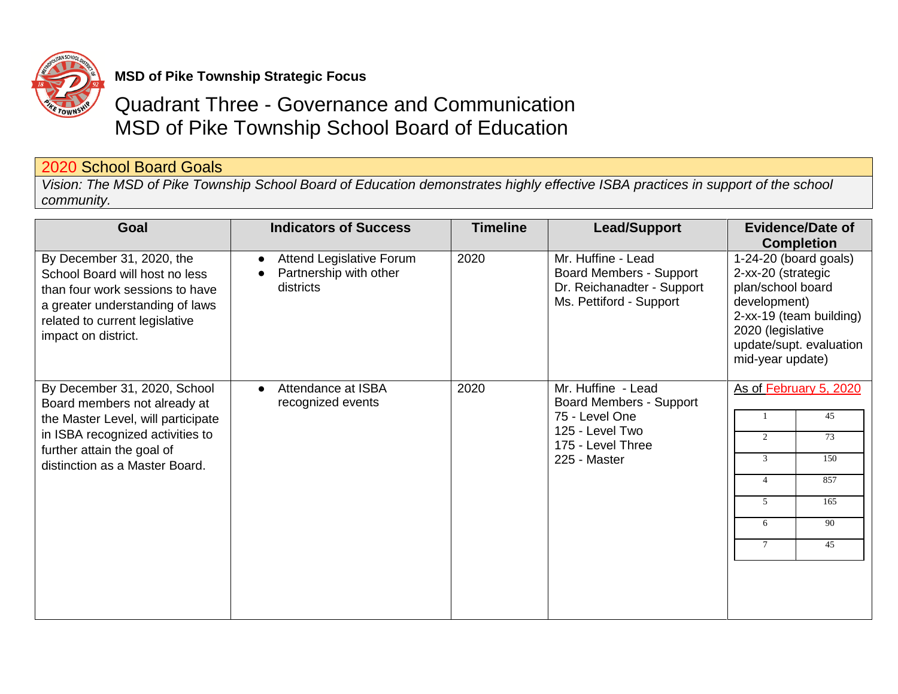

## **MSD of Pike Township Strategic Focus**

## Quadrant Three - Governance and Communication MSD of Pike Township School Board of Education

## 2020 School Board Goals

*Vision: The MSD of Pike Township School Board of Education demonstrates highly effective ISBA practices in support of the school community.*

| Goal                                                                                                                                                                                                   | <b>Indicators of Success</b>                                           | <b>Timeline</b> | <b>Lead/Support</b>                                                                                                            | <b>Evidence/Date of</b>                                                                                                                                                                              |
|--------------------------------------------------------------------------------------------------------------------------------------------------------------------------------------------------------|------------------------------------------------------------------------|-----------------|--------------------------------------------------------------------------------------------------------------------------------|------------------------------------------------------------------------------------------------------------------------------------------------------------------------------------------------------|
| By December 31, 2020, the<br>School Board will host no less<br>than four work sessions to have<br>a greater understanding of laws<br>related to current legislative<br>impact on district.             | <b>Attend Legislative Forum</b><br>Partnership with other<br>districts | 2020            | Mr. Huffine - Lead<br><b>Board Members - Support</b><br>Dr. Reichanadter - Support<br>Ms. Pettiford - Support                  | <b>Completion</b><br>1-24-20 (board goals)<br>2-xx-20 (strategic<br>plan/school board<br>development)<br>2-xx-19 (team building)<br>2020 (legislative<br>update/supt. evaluation<br>mid-year update) |
| By December 31, 2020, School<br>Board members not already at<br>the Master Level, will participate<br>in ISBA recognized activities to<br>further attain the goal of<br>distinction as a Master Board. | Attendance at ISBA<br>recognized events                                | 2020            | Mr. Huffine - Lead<br><b>Board Members - Support</b><br>75 - Level One<br>125 - Level Two<br>175 - Level Three<br>225 - Master | As of February 5, 2020<br>45<br>73<br>150<br>3<br>857<br>165<br>5<br>90<br>6<br>45<br>$\tau$                                                                                                         |